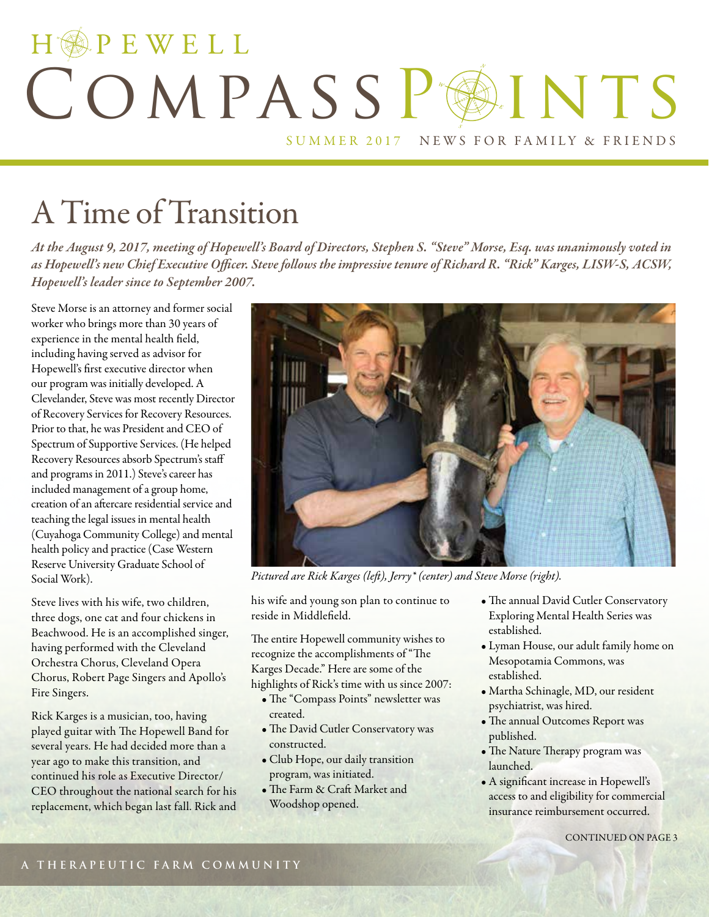## HOPEWELL COMPASSPAINTS SUMMER 2017 NEWS FOR FAMILY & FRIENDS

## A Time of Transition

*At the August 9, 2017, meeting of Hopewell's Board of Directors, Stephen S. "Steve" Morse, Esq. was unanimously voted in as Hopewell's new Chief Executive Officer. Steve follows the impressive tenure of Richard R. "Rick" Karges, LISW-S, ACSW, Hopewell's leader since to September 2007.*

Steve Morse is an attorney and former social worker who brings more than 30 years of experience in the mental health field, including having served as advisor for Hopewell's first executive director when our program was initially developed. A Clevelander, Steve was most recently Director of Recovery Services for Recovery Resources. Prior to that, he was President and CEO of Spectrum of Supportive Services. (He helped Recovery Resources absorb Spectrum's staff and programs in 2011.) Steve's career has included management of a group home, creation of an aftercare residential service and teaching the legal issues in mental health (Cuyahoga Community College) and mental health policy and practice (Case Western Reserve University Graduate School of Social Work).

Steve lives with his wife, two children, three dogs, one cat and four chickens in Beachwood. He is an accomplished singer, having performed with the Cleveland Orchestra Chorus, Cleveland Opera Chorus, Robert Page Singers and Apollo's Fire Singers.

Rick Karges is a musician, too, having played guitar with The Hopewell Band for several years. He had decided more than a year ago to make this transition, and continued his role as Executive Director/ CEO throughout the national search for his replacement, which began last fall. Rick and



*Pictured are Rick Karges (left), Jerry\* (center) and Steve Morse (right).*

his wife and young son plan to continue to reside in Middlefield.

The entire Hopewell community wishes to recognize the accomplishments of "The Karges Decade." Here are some of the highlights of Rick's time with us since 2007:

- The "Compass Points" newsletter was created.
- The David Cutler Conservatory was constructed.
- Club Hope, our daily transition program, was initiated.
- The Farm & Craft Market and Woodshop opened.
- The annual David Cutler Conservatory Exploring Mental Health Series was established.
- Lyman House, our adult family home on Mesopotamia Commons, was established.
- Martha Schinagle, MD, our resident psychiatrist, was hired.
- The annual Outcomes Report was published.
- The Nature Therapy program was launched.
- A significant increase in Hopewell's access to and eligibility for commercial insurance reimbursement occurred.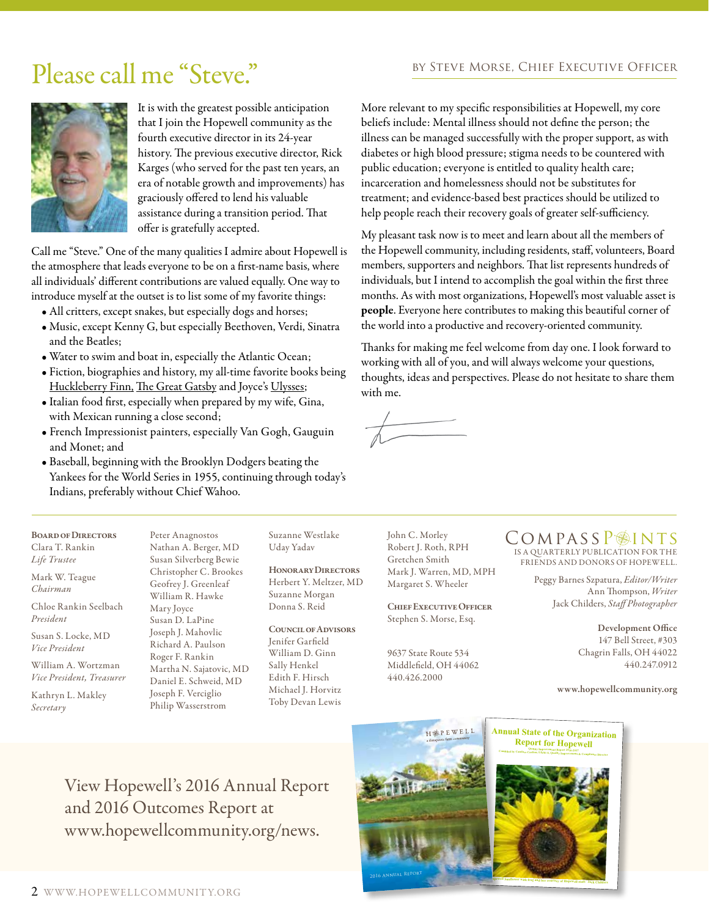## Please call me "Steve." BY STEVE MORSE, CHIEF EXECUTIVE OFFICER



It is with the greatest possible anticipation that I join the Hopewell community as the fourth executive director in its 24-year history. The previous executive director, Rick Karges (who served for the past ten years, an era of notable growth and improvements) has graciously offered to lend his valuable assistance during a transition period. That offer is gratefully accepted.

Call me "Steve." One of the many qualities I admire about Hopewell is the atmosphere that leads everyone to be on a first-name basis, where all individuals' different contributions are valued equally. One way to introduce myself at the outset is to list some of my favorite things:

- All critters, except snakes, but especially dogs and horses;
- Music, except Kenny G, but especially Beethoven, Verdi, Sinatra and the Beatles;
- Water to swim and boat in, especially the Atlantic Ocean;
- Fiction, biographies and history, my all-time favorite books being Huckleberry Finn, The Great Gatsby and Joyce's Ulysses;
- Italian food first, especially when prepared by my wife, Gina, with Mexican running a close second;
- French Impressionist painters, especially Van Gogh, Gauguin and Monet; and
- Baseball, beginning with the Brooklyn Dodgers beating the Yankees for the World Series in 1955, continuing through today's Indians, preferably without Chief Wahoo.

Peter Anagnostos

More relevant to my specific responsibilities at Hopewell, my core beliefs include: Mental illness should not define the person; the illness can be managed successfully with the proper support, as with diabetes or high blood pressure; stigma needs to be countered with public education; everyone is entitled to quality health care; incarceration and homelessness should not be substitutes for treatment; and evidence-based best practices should be utilized to help people reach their recovery goals of greater self-sufficiency.

My pleasant task now is to meet and learn about all the members of the Hopewell community, including residents, staff, volunteers, Board members, supporters and neighbors. That list represents hundreds of individuals, but I intend to accomplish the goal within the first three months. As with most organizations, Hopewell's most valuable asset is people. Everyone here contributes to making this beautiful corner of the world into a productive and recovery-oriented community.

Thanks for making me feel welcome from day one. I look forward to working with all of you, and will always welcome your questions, thoughts, ideas and perspectives. Please do not hesitate to share them with me.

Board of Directors Clara T. Rankin *Life Trustee*

Mark W. Teague *Chairman*

Chloe Rankin Seelbach *President*

Susan S. Locke, MD *Vice President*

William A. Wortzman *Vice President, Treasurer*

Kathryn L. Makley *Secretary*

Nathan A. Berger, MD Susan Silverberg Bewie Christopher C. Brookes Geofrey J. Greenleaf William R. Hawke Mary Joyce Susan D. LaPine Joseph J. Mahovlic Richard A. Paulson Roger F. Rankin Martha N. Sajatovic, MD Daniel E. Schweid, MD Joseph F. Verciglio Philip Wasserstrom

Suzanne Westlake Uday Yadav

Honorary Directors Herbert Y. Meltzer, MD Suzanne Morgan Donna S. Reid

Council of Advisors Jenifer Garfield William D. Ginn Sally Henkel Edith F. Hirsch Michael J. Horvitz Toby Devan Lewis

John C. Morley Robert J. Roth, RPH Gretchen Smith Mark J. Warren, MD, MPH Margaret S. Wheeler

Chief Executive Officer Stephen S. Morse, Esq.

9637 State Route 534 Middlefield, OH 44062 440.426.2000

#### IS A QUARTERLY PUBLICATION FOR THE COMPASSP<sup>INTS</sup>

FRIENDS AND DONORS OF HOPEWELL.

Peggy Barnes Szpatura, *Editor/Writer* Ann Thompson, *Writer*  Jack Childers, *Staff Photographer*

> Development Office 147 Bell Street, #303 Chagrin Falls, OH 44022 440.247.0912

www.hopewellcommunity.org

View Hopewell's 2016 Annual Report and 2016 Outcomes Report at www.hopewellcommunity.org/news.



**Report for Hopewell Compiled by Candace Carlton, LISW-S. Ogality Improvement -S, Quality Improvement & Compliance Director**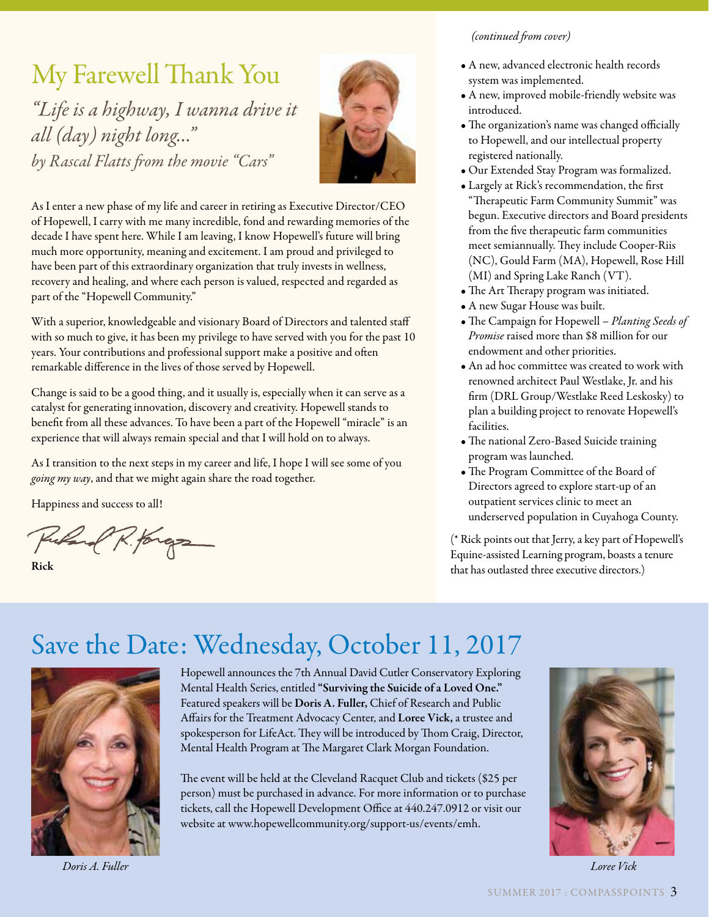## My Farewell Thank You

*"Life is a highway, I wanna drive it all (day) night long…" by Rascal Flatts from the movie "Cars"*



As I enter a new phase of my life and career in retiring as Executive Director/CEO of Hopewell, I carry with me many incredible, fond and rewarding memories of the decade I have spent here. While I am leaving, I know Hopewell's future will bring much more opportunity, meaning and excitement. I am proud and privileged to have been part of this extraordinary organization that truly invests in wellness, recovery and healing, and where each person is valued, respected and regarded as part of the "Hopewell Community."

With a superior, knowledgeable and visionary Board of Directors and talented staff with so much to give, it has been my privilege to have served with you for the past 10 years. Your contributions and professional support make a positive and often remarkable difference in the lives of those served by Hopewell.

Change is said to be a good thing, and it usually is, especially when it can serve as a catalyst for generating innovation, discovery and creativity. Hopewell stands to benefit from all these advances. To have been a part of the Hopewell "miracle" is an experience that will always remain special and that I will hold on to always.

As I transition to the next steps in my career and life, I hope I will see some of you *going my way*, and that we might again share the road together.

Happiness and success to all!

Russel R. forga

Rick

#### *(continued from cover)*

- A new, advanced electronic health records system was implemented.
- A new, improved mobile-friendly website was introduced.
- The organization's name was changed officially to Hopewell, and our intellectual property registered nationally.
- Our Extended Stay Program was formalized.
- Largely at Rick's recommendation, the first "Therapeutic Farm Community Summit" was begun. Executive directors and Board presidents from the five therapeutic farm communities meet semiannually. They include Cooper-Riis (NC), Gould Farm (MA), Hopewell, Rose Hill (MI) and Spring Lake Ranch (VT).
- The Art Therapy program was initiated.
- A new Sugar House was built.
- The Campaign for Hopewell *Planting Seeds of Promise* raised more than \$8 million for our endowment and other priorities.
- An ad hoc committee was created to work with renowned architect Paul Westlake, Jr. and his firm (DRL Group/Westlake Reed Leskosky) to plan a building project to renovate Hopewell's facilities.
- The national Zero-Based Suicide training program was launched.
- The Program Committee of the Board of Directors agreed to explore start-up of an outpatient services clinic to meet an underserved population in Cuyahoga County.

(\* Rick points out that Jerry, a key part of Hopewell's Equine-assisted Learning program, boasts a tenure that has outlasted three executive directors.)

## Save the Date: Wednesday, October 11, 2017



Hopewell announces the 7th Annual David Cutler Conservatory Exploring Mental Health Series, entitled "Surviving the Suicide of a Loved One." Featured speakers will be Doris A. Fuller, Chief of Research and Public Affairs for the Treatment Advocacy Center, and Loree Vick, a trustee and spokesperson for LifeAct. They will be introduced by Thom Craig, Director, Mental Health Program at The Margaret Clark Morgan Foundation.

The event will be held at the Cleveland Racquet Club and tickets (\$25 per person) must be purchased in advance. For more information or to purchase tickets, call the Hopewell Development Office at 440.247.0912 or visit our website at www.hopewellcommunity.org/support-us/events/emh.



*Doris A. Fuller Loree Vick*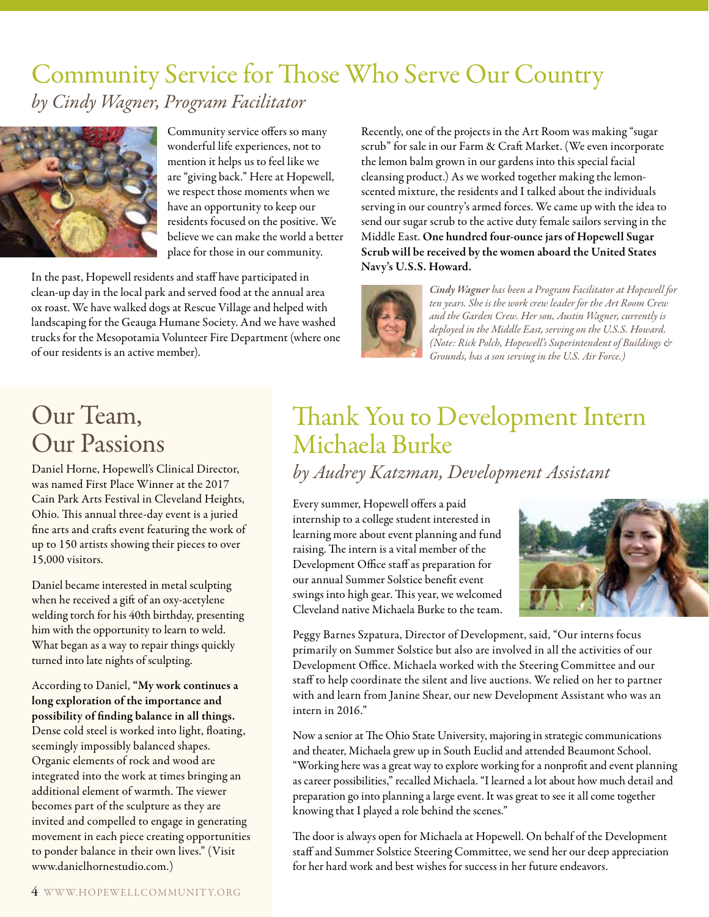## Community Service for Those Who Serve Our Country *by Cindy Wagner, Program Facilitator*



Community service offers so many wonderful life experiences, not to mention it helps us to feel like we are "giving back." Here at Hopewell, we respect those moments when we have an opportunity to keep our residents focused on the positive. We believe we can make the world a better place for those in our community.

In the past, Hopewell residents and staff have participated in clean-up day in the local park and served food at the annual area ox roast. We have walked dogs at Rescue Village and helped with landscaping for the Geauga Humane Society. And we have washed trucks for the Mesopotamia Volunteer Fire Department (where one of our residents is an active member).

Recently, one of the projects in the Art Room was making "sugar scrub" for sale in our Farm & Craft Market. (We even incorporate the lemon balm grown in our gardens into this special facial cleansing product.) As we worked together making the lemonscented mixture, the residents and I talked about the individuals serving in our country's armed forces. We came up with the idea to send our sugar scrub to the active duty female sailors serving in the Middle East. One hundred four-ounce jars of Hopewell Sugar Scrub will be received by the women aboard the United States Navy's U.S.S. Howard.



*Cindy Wagner has been a Program Facilitator at Hopewell for ten years. She is the work crew leader for the Art Room Crew and the Garden Crew. Her son, Austin Wagner, currently is deployed in the Middle East, serving on the U.S.S. Howard. (Note: Rick Polch, Hopewell's Superintendent of Buildings & Grounds, has a son serving in the U.S. Air Force.)*

### Our Team, Our Passions

Daniel Horne, Hopewell's Clinical Director, was named First Place Winner at the 2017 Cain Park Arts Festival in Cleveland Heights, Ohio. This annual three-day event is a juried fine arts and crafts event featuring the work of up to 150 artists showing their pieces to over 15,000 visitors.

Daniel became interested in metal sculpting when he received a gift of an oxy-acetylene welding torch for his 40th birthday, presenting him with the opportunity to learn to weld. What began as a way to repair things quickly turned into late nights of sculpting.

According to Daniel, "My work continues a long exploration of the importance and possibility of finding balance in all things. Dense cold steel is worked into light, floating, seemingly impossibly balanced shapes. Organic elements of rock and wood are integrated into the work at times bringing an additional element of warmth. The viewer becomes part of the sculpture as they are invited and compelled to engage in generating movement in each piece creating opportunities to ponder balance in their own lives." (Visit www.danielhornestudio.com.)

## Thank You to Development Intern Michaela Burke

*by Audrey Katzman, Development Assistant*

Every summer, Hopewell offers a paid internship to a college student interested in learning more about event planning and fund raising. The intern is a vital member of the Development Office staff as preparation for our annual Summer Solstice benefit event swings into high gear. This year, we welcomed Cleveland native Michaela Burke to the team.



Peggy Barnes Szpatura, Director of Development, said, "Our interns focus primarily on Summer Solstice but also are involved in all the activities of our Development Office. Michaela worked with the Steering Committee and our staff to help coordinate the silent and live auctions. We relied on her to partner with and learn from Janine Shear, our new Development Assistant who was an intern in 2016"

Now a senior at The Ohio State University, majoring in strategic communications and theater, Michaela grew up in South Euclid and attended Beaumont School. "Working here was a great way to explore working for a nonprofit and event planning as career possibilities," recalled Michaela. "I learned a lot about how much detail and preparation go into planning a large event. It was great to see it all come together knowing that I played a role behind the scenes."

The door is always open for Michaela at Hopewell. On behalf of the Development staff and Summer Solstice Steering Committee, we send her our deep appreciation for her hard work and best wishes for success in her future endeavors.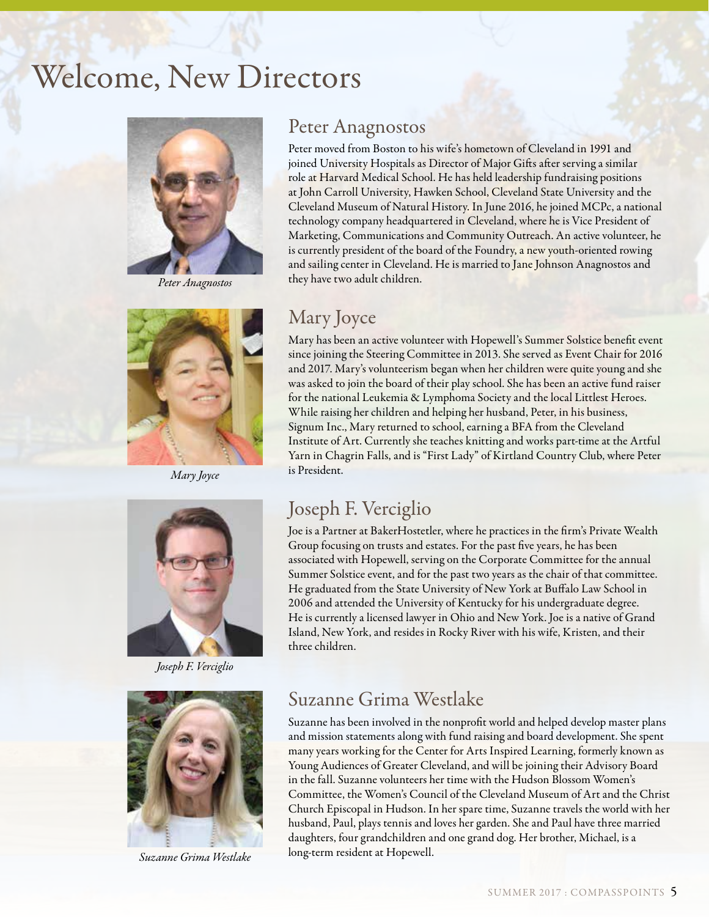## Welcome, New Directors



*Peter Anagnostos*



*Mary Joyce*



*Joseph F. Verciglio*



*Suzanne Grima Westlake*

#### Peter Anagnostos

Peter moved from Boston to his wife's hometown of Cleveland in 1991 and joined University Hospitals as Director of Major Gifts after serving a similar role at Harvard Medical School. He has held leadership fundraising positions at John Carroll University, Hawken School, Cleveland State University and the Cleveland Museum of Natural History. In June 2016, he joined MCPc, a national technology company headquartered in Cleveland, where he is Vice President of Marketing, Communications and Community Outreach. An active volunteer, he is currently president of the board of the Foundry, a new youth-oriented rowing and sailing center in Cleveland. He is married to Jane Johnson Anagnostos and they have two adult children.

### Mary Joyce

Mary has been an active volunteer with Hopewell's Summer Solstice benefit event since joining the Steering Committee in 2013. She served as Event Chair for 2016 and 2017. Mary's volunteerism began when her children were quite young and she was asked to join the board of their play school. She has been an active fund raiser for the national Leukemia & Lymphoma Society and the local Littlest Heroes. While raising her children and helping her husband, Peter, in his business, Signum Inc., Mary returned to school, earning a BFA from the Cleveland Institute of Art. Currently she teaches knitting and works part-time at the Artful Yarn in Chagrin Falls, and is "First Lady" of Kirtland Country Club, where Peter is President.

### Joseph F. Verciglio

Joe is a Partner at BakerHostetler, where he practices in the firm's Private Wealth Group focusing on trusts and estates. For the past five years, he has been associated with Hopewell, serving on the Corporate Committee for the annual Summer Solstice event, and for the past two years as the chair of that committee. He graduated from the State University of New York at Buffalo Law School in 2006 and attended the University of Kentucky for his undergraduate degree. He is currently a licensed lawyer in Ohio and New York. Joe is a native of Grand Island, New York, and resides in Rocky River with his wife, Kristen, and their three children.

### Suzanne Grima Westlake

Suzanne has been involved in the nonprofit world and helped develop master plans and mission statements along with fund raising and board development. She spent many years working for the Center for Arts Inspired Learning, formerly known as Young Audiences of Greater Cleveland, and will be joining their Advisory Board in the fall. Suzanne volunteers her time with the Hudson Blossom Women's Committee, the Women's Council of the Cleveland Museum of Art and the Christ Church Episcopal in Hudson. In her spare time, Suzanne travels the world with her husband, Paul, plays tennis and loves her garden. She and Paul have three married daughters, four grandchildren and one grand dog. Her brother, Michael, is a long-term resident at Hopewell.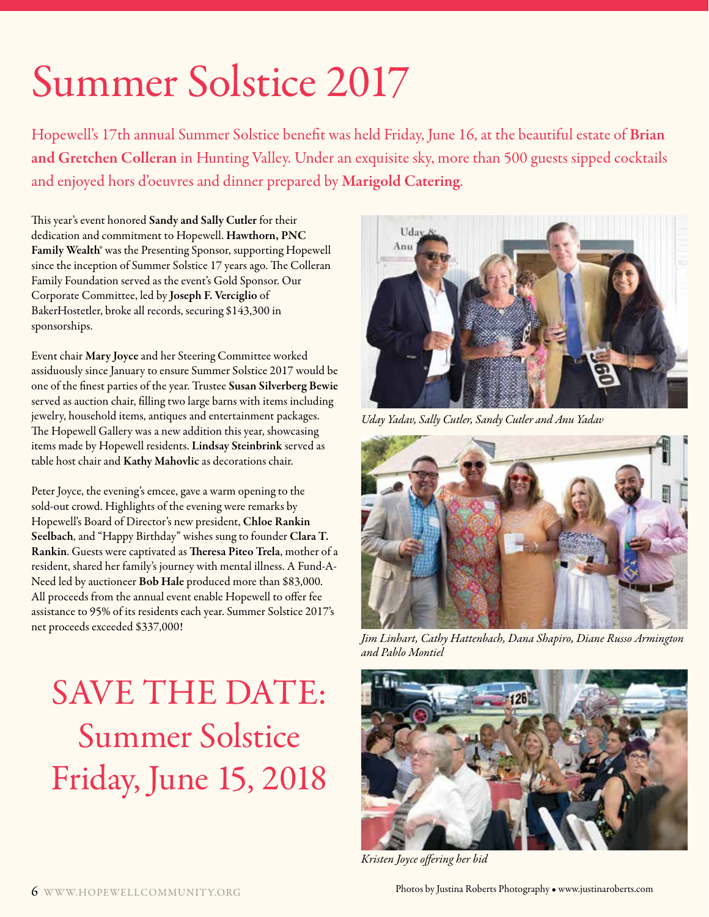# Summer Solstice 2017

Hopewell's 17th annual Summer Solstice benefit was held Friday, June 16, at the beautiful estate of Brian and Gretchen Colleran in Hunting Valley. Under an exquisite sky, more than 500 guests sipped cocktails and enjoyed hors d'oeuvres and dinner prepared by Marigold Catering.

This year's event honored Sandy and Sally Cutler for their dedication and commitment to Hopewell. Hawthorn, PNC Family Wealth® was the Presenting Sponsor, supporting Hopewell since the inception of Summer Solstice 17 years ago. The Colleran Family Foundation served as the event's Gold Sponsor. Our Corporate Committee, led by Joseph F. Verciglio of BakerHostetler, broke all records, securing \$143,300 in sponsorships.

Event chair Mary Joyce and her Steering Committee worked assiduously since January to ensure Summer Solstice 2017 would be one of the finest parties of the year. Trustee Susan Silverberg Bewie served as auction chair, filling two large barns with items including jewelry, household items, antiques and entertainment packages. The Hopewell Gallery was a new addition this year, showcasing items made by Hopewell residents. Lindsay Steinbrink served as table host chair and Kathy Mahovlic as decorations chair.

Peter Joyce, the evening's emcee, gave a warm opening to the sold-out crowd. Highlights of the evening were remarks by Hopewell's Board of Director's new president, Chloe Rankin Seelbach, and "Happy Birthday" wishes sung to founder Clara T. Rankin. Guests were captivated as Theresa Piteo Trela, mother of a resident, shared her family's journey with mental illness. A Fund-A-Need led by auctioneer Bob Hale produced more than \$83,000. All proceeds from the annual event enable Hopewell to offer fee assistance to 95% of its residents each year. Summer Solstice 2017's net proceeds exceeded \$337,000!

## SAVE THE DATE: Summer Solstice Friday, June 15, 2018



*Uday Yadav, Sally Cutler, Sandy Cutler and Anu Yadav*



*Jim Linhart, Cathy Hattenbach, Dana Shapiro, Diane Russo Armington and Pablo Montiel*



*Kristen Joyce offering her bid*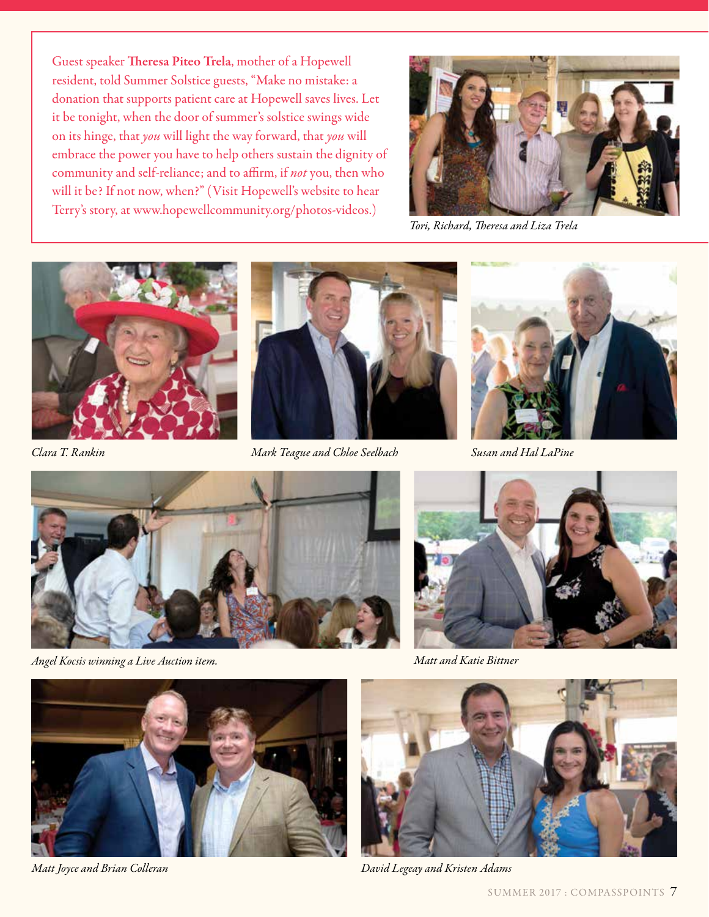Guest speaker Theresa Piteo Trela, mother of a Hopewell resident, told Summer Solstice guests, "Make no mistake: a donation that supports patient care at Hopewell saves lives. Let it be tonight, when the door of summer's solstice swings wide on its hinge, that *you* will light the way forward, that *you* will embrace the power you have to help others sustain the dignity of community and self-reliance; and to affirm, if *not* you, then who will it be? If not now, when?" (Visit Hopewell's website to hear Terry's story, at www.hopewellcommunity.org/photos-videos.)



*Tori, Richard, Theresa and Liza Trela*





*Clara T. Rankin Mark Teague and Chloe Seelbach Susan and Hal LaPine*





*Angel Kocsis winning a Live Auction item. Matt and Katie Bittner*







*Matt Joyce and Brian Colleran David Legeay and Kristen Adams*